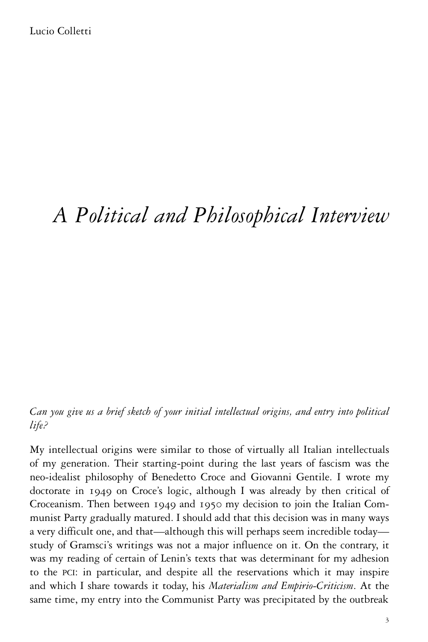# *A Political and Philosophical Interview*

## *Can you give us a brief sketch of your initial intellectual origins, and entry into political life?*

My intellectual origins were similar to those of virtually all Italian intellectuals of my generation. Their starting-point during the last years of fascism was the neo-idealist philosophy of Benedetto Croce and Giovanni Gentile. I wrote my doctorate in 1949 on Croce's logic, although I was already by then critical of Croceanism. Then between 1949 and 1950 my decision to join the Italian Communist Party gradually matured. I should add that this decision was in many ways a very difficult one, and that—although this will perhaps seem incredible today study of Gramsci's writings was not a major influence on it. On the contrary, it was my reading of certain of Lenin's texts that was determinant for my adhesion to the PCI: in particular, and despite all the reservations which it may inspire and which I share towards it today, his *Materialism and Empirio-Criticism*. At the same time, my entry into the Communist Party was precipitated by the outbreak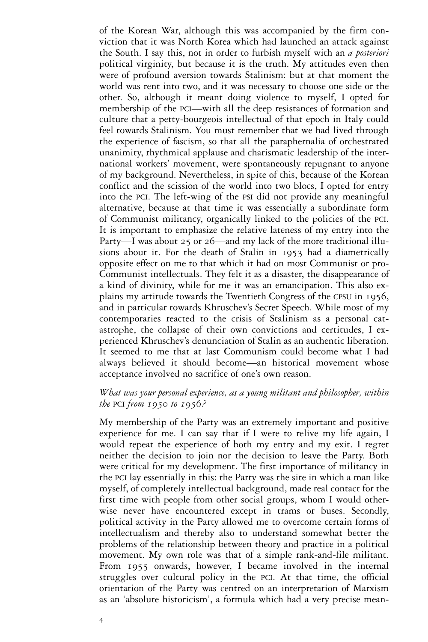of the Korean War, although this was accompanied by the firm conviction that it was North Korea which had launched an attack against the South. I say this, not in order to furbish myself with an *a posteriori* political virginity, but because it is the truth. My attitudes even then were of profound aversion towards Stalinism: but at that moment the world was rent into two, and it was necessary to choose one side or the other. So, although it meant doing violence to myself, I opted for membership of the PCI—with all the deep resistances of formation and culture that a petty-bourgeois intellectual of that epoch in Italy could feel towards Stalinism. You must remember that we had lived through the experience of fascism, so that all the paraphernalia of orchestrated unanimity, rhythmical applause and charismatic leadership of the international workers' movement, were spontaneously repugnant to anyone of my background. Nevertheless, in spite of this, because of the Korean conflict and the scission of the world into two blocs, I opted for entry into the PCI. The left-wing of the PSI did not provide any meaningful alternative, because at that time it was essentially a subordinate form of Communist militancy, organically linked to the policies of the PCI. It is important to emphasize the relative lateness of my entry into the Party—I was about 25 or 26—and my lack of the more traditional illusions about it. For the death of Stalin in 1953 had a diametrically opposite effect on me to that which it had on most Communist or pro-Communist intellectuals. They felt it as a disaster, the disappearance of a kind of divinity, while for me it was an emancipation. This also explains my attitude towards the Twentieth Congress of the CPSU in 1956, and in particular towards Khruschev's Secret Speech. While most of my contemporaries reacted to the crisis of Stalinism as a personal catastrophe, the collapse of their own convictions and certitudes, I experienced Khruschev's denunciation of Stalin as an authentic liberation. It seemed to me that at last Communism could become what I had always believed it should become—an historical movement whose acceptance involved no sacrifice of one's own reason.

#### *What was your personal experience, as a young militant and philosopher, within the* PCI *from 1950 to 1956?*

My membership of the Party was an extremely important and positive experience for me. I can say that if I were to relive my life again, I would repeat the experience of both my entry and my exit. I regret neither the decision to join nor the decision to leave the Party. Both were critical for my development. The first importance of militancy in the PCI lay essentially in this: the Party was the site in which a man like myself, of completely intellectual background, made real contact for the first time with people from other social groups, whom I would otherwise never have encountered except in trams or buses. Secondly, political activity in the Party allowed me to overcome certain forms of intellectualism and thereby also to understand somewhat better the problems of the relationship between theory and practice in a political movement. My own role was that of a simple rank-and-file militant. From 1955 onwards, however, I became involved in the internal struggles over cultural policy in the PCI. At that time, the official orientation of the Party was centred on an interpretation of Marxism as an 'absolute historicism', a formula which had a very precise mean-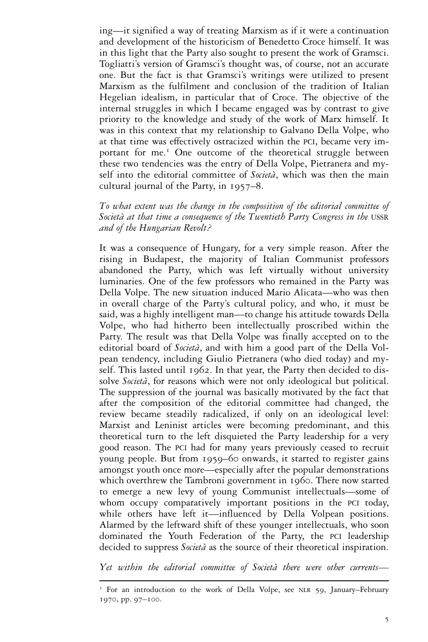ing—it signified a way of treating Marxism as if it were a continuation and development of the historicism of Benedetto Croce himself. It was in this light that the Party also sought to present the work of Gramsci. Togliatti's version of Gramsci's thought was, of course, not an accurate one. But the fact is that Gramsci's writings were utilized to present Marxism as the fulfilment and conclusion of the tradition of Italian Hegelian idealism, in particular that of Croce. The objective of the internal struggles in which I became engaged was by contrast to give priority to the knowledge and study of the work of Marx himself. It was in this context that my relationship to Galvano Della Volpe, who at that time was effectively ostracized within the PCI, became very important for me.<sup>1</sup> One outcome of the theoretical struggle between these two tendencies was the entry of Della Volpe, Pietranera and myself into the editorial committee of *Società*, which was then the main cultural journal of the Party, in 1957–8.

*To what extent was the change in the composition of the editorial committee of Società at that time a consequence of the Twentieth Party Congress in the* USSR *and of the Hungarian Revolt?*

It was a consequence of Hungary, for a very simple reason. After the rising in Budapest, the majority of Italian Communist professors abandoned the Party, which was left virtually without university luminaries. One of the few professors who remained in the Party was Della Volpe. The new situation induced Mario Alicata—who was then in overall charge of the Party's cultural policy, and who, it must be said, was a highly intelligent man—to change his attitude towards Della Volpe, who had hitherto been intellectually proscribed within the Party. The result was that Della Volpe was finally accepted on to the editorial board of *Società*, and with him a good part of the Della Volpean tendency, including Giulio Pietranera (who died today) and myself. This lasted until 1962. In that year, the Party then decided to dissolve *Società*, for reasons which were not only ideological but political. The suppression of the journal was basically motivated by the fact that after the composition of the editorial committee had changed, the review became steadily radicalized, if only on an ideological level: Marxist and Leninist articles were becoming predominant, and this theoretical turn to the left disquieted the Party leadership for a very good reason. The PCI had for many years previously ceased to recruit young people. But from 1959–60 onwards, it started to register gains amongst youth once more—especially after the popular demonstrations which overthrew the Tambroni government in 1960. There now started to emerge a new levy of young Communist intellectuals—some of whom occupy comparatively important positions in the PCI today, while others have left it—influenced by Della Volpean positions. Alarmed by the leftward shift of these younger intellectuals, who soon dominated the Youth Federation of the Party, the PCI leadership decided to suppress *Società* as the source of their theoretical inspiration.

*Yet within the editorial committee of Società there were other currents—*

<sup>&</sup>lt;sup>1</sup> For an introduction to the work of Della Volpe, see NLR 59, January–February 1970, pp. 97–100.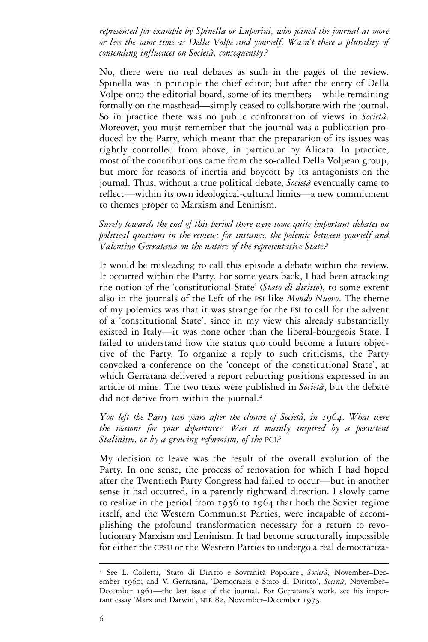*represented for example by Spinella or Luporini, who joined the journal at more or less the same time as Della Volpe and yourself. Wasn*'*t there a plurality of contending influences on Società, consequently?*

No, there were no real debates as such in the pages of the review. Spinella was in principle the chief editor; but after the entry of Della Volpe onto the editorial board, some of its members—while remaining formally on the masthead—simply ceased to collaborate with the journal. So in practice there was no public confrontation of views in *Società*. Moreover, you must remember that the journal was a publication produced by the Party, which meant that the preparation of its issues was tightly controlled from above, in particular by Alicata. In practice, most of the contributions came from the so-called Della Volpean group, but more for reasons of inertia and boycott by its antagonists on the journal. Thus, without a true political debate, *Società* eventually came to reflect—within its own ideological-cultural limits—a new commitment to themes proper to Marxism and Leninism.

*Surely towards the end of this period there were some quite important debates on political questions in the review: for instance, the polemic between yourself and Valentino Gerratana on the nature of the representative State?*

It would be misleading to call this episode a debate within the review. It occurred within the Party. For some years back, I had been attacking the notion of the 'constitutional State' (*Stato di diritto*), to some extent also in the journals of the Left of the PSI like *Mondo Nuovo*. The theme of my polemics was that it was strange for the PSI to call for the advent of a 'constitutional State', since in my view this already substantially existed in Italy—it was none other than the liberal-bourgeois State. I failed to understand how the status quo could become a future objective of the Party. To organize a reply to such criticisms, the Party convoked a conference on the 'concept of the constitutional State', at which Gerratana delivered a report rebutting positions expressed in an article of mine. The two texts were published in *Società*, but the debate did not derive from within the journal.<sup>2</sup>

*You left the Party two years after the closure of Società, in 1964*. *What were the reasons for your departure? Was it mainly inspired by a persistent Stalinism, or by a growing reformism, of the* PCI*?*

My decision to leave was the result of the overall evolution of the Party. In one sense, the process of renovation for which I had hoped after the Twentieth Party Congress had failed to occur—but in another sense it had occurred, in a patently rightward direction. I slowly came to realize in the period from 1956 to 1964 that both the Soviet regime itself, and the Western Communist Parties, were incapable of accomplishing the profound transformation necessary for a return to revolutionary Marxism and Leninism. It had become structurally impossible for either the CPSU or the Western Parties to undergo a real democratiza-

<sup>2</sup> See L. Colletti, 'Stato di Diritto e Sovranità Popolare', *Società*, November–December 1960; and V. Gerratana, 'Democrazia e Stato di Diritto', *Società*, November– December 1961—the last issue of the journal. For Gerratana's work, see his important essay 'Marx and Darwin', NLR 82, November–December 1973.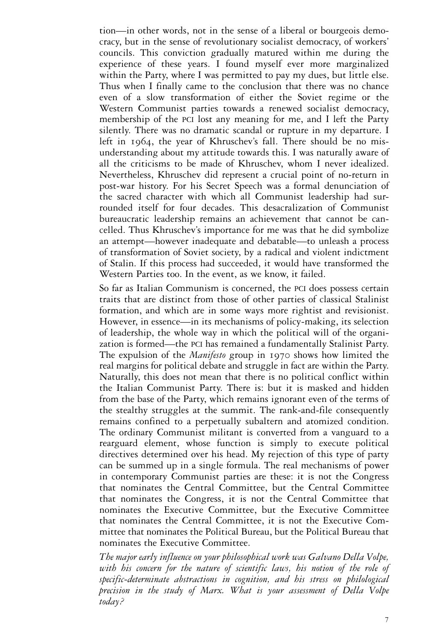tion—in other words, not in the sense of a liberal or bourgeois democracy, but in the sense of revolutionary socialist democracy, of workers' councils. This conviction gradually matured within me during the experience of these years. I found myself ever more marginalized within the Party, where I was permitted to pay my dues, but little else. Thus when I finally came to the conclusion that there was no chance even of a slow transformation of either the Soviet regime or the Western Communist parties towards a renewed socialist democracy, membership of the PCI lost any meaning for me, and I left the Party silently. There was no dramatic scandal or rupture in my departure. I left in 1964, the year of Khruschev's fall. There should be no misunderstanding about my attitude towards this. I was naturally aware of all the criticisms to be made of Khruschev, whom I never idealized. Nevertheless, Khruschev did represent a crucial point of no-return in post-war history. For his Secret Speech was a formal denunciation of the sacred character with which all Communist leadership had surrounded itself for four decades. This desacralization of Communist bureaucratic leadership remains an achievement that cannot be cancelled. Thus Khruschev's importance for me was that he did symbolize an attempt—however inadequate and debatable—to unleash a process of transformation of Soviet society, by a radical and violent indictment of Stalin. If this process had succeeded, it would have transformed the Western Parties too. In the event, as we know, it failed.

So far as Italian Communism is concerned, the PCI does possess certain traits that are distinct from those of other parties of classical Stalinist formation, and which are in some ways more rightist and revisionist. However, in essence—in its mechanisms of policy-making, its selection of leadership, the whole way in which the political will of the organization is formed—the PCI has remained a fundamentally Stalinist Party. The expulsion of the *Manifesto* group in 1970 shows how limited the real margins for political debate and struggle in fact are within the Party. Naturally, this does not mean that there is no political conflict within the Italian Communist Party. There is: but it is masked and hidden from the base of the Party, which remains ignorant even of the terms of the stealthy struggles at the summit. The rank-and-file consequently remains confined to a perpetually subaltern and atomized condition. The ordinary Communist militant is converted from a vanguard to a rearguard element, whose function is simply to execute political directives determined over his head. My rejection of this type of party can be summed up in a single formula. The real mechanisms of power in contemporary Communist parties are these: it is not the Congress that nominates the Central Committee, but the Central Committee that nominates the Congress, it is not the Central Committee that nominates the Executive Committee, but the Executive Committee that nominates the Central Committee, it is not the Executive Committee that nominates the Political Bureau, but the Political Bureau that nominates the Executive Committee.

*The major early influence on your philosophical work was Galvano Della Volpe, with his concern for the nature of scientific laws, his notion of the role of specific-determinate abstractions in cognition, and his stress on philological precision in the study of Marx. What is your assessment of Della Volpe today?*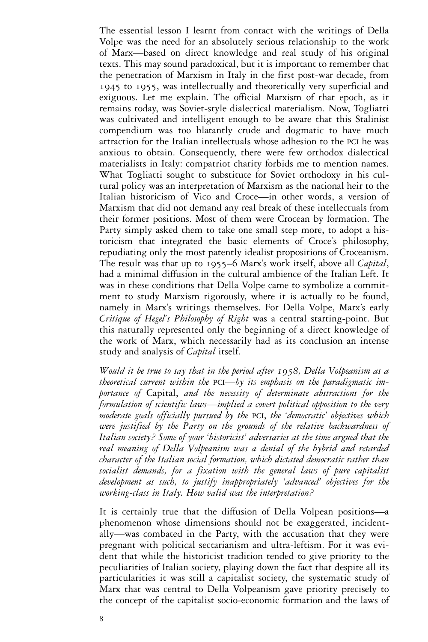The essential lesson I learnt from contact with the writings of Della Volpe was the need for an absolutely serious relationship to the work of Marx—based on direct knowledge and real study of his original texts. This may sound paradoxical, but it is important to remember that the penetration of Marxism in Italy in the first post-war decade, from 1945 to 1955, was intellectually and theoretically very superficial and exiguous. Let me explain. The official Marxism of that epoch, as it remains today, was Soviet-style dialectical materialism. Now, Togliatti was cultivated and intelligent enough to be aware that this Stalinist compendium was too blatantly crude and dogmatic to have much attraction for the Italian intellectuals whose adhesion to the PCI he was anxious to obtain. Consequently, there were few orthodox dialectical materialists in Italy: compatriot charity forbids me to mention names. What Togliatti sought to substitute for Soviet orthodoxy in his cultural policy was an interpretation of Marxism as the national heir to the Italian historicism of Vico and Croce—in other words, a version of Marxism that did not demand any real break of these intellectuals from their former positions. Most of them were Crocean by formation. The Party simply asked them to take one small step more, to adopt a historicism that integrated the basic elements of Croce's philosophy, repudiating only the most patently idealist propositions of Croceanism. The result was that up to 1955–6 Marx's work itself, above all *Capital*, had a minimal diffusion in the cultural ambience of the Italian Left. It was in these conditions that Della Volpe came to symbolize a commitment to study Marxism rigorously, where it is actually to be found, namely in Marx's writings themselves. For Della Volpe, Marx's early *Critique of Hegel*'*s Philosophy of Right* was a central starting-point. But this naturally represented only the beginning of a direct knowledge of the work of Marx, which necessarily had as its conclusion an intense study and analysis of *Capital* itself.

*Would it be true to say that in the period after 1958, Della Volpeanism as a theoretical current within the* PCI*—by its emphasis on the paradigmatic importance of* Capital, *and the necessity of determinate abstractions for the formulation of scientific laws—implied a covert political opposition to the very moderate goals officially pursued by the* PCI, *the 'democratic' objectives which were justified by the Party on the grounds of the relative backwardness of Italian society? Some of your 'historicist' adversaries at the time argued that the real meaning of Della Volpeanism was a denial of the hybrid and retarded character of the Italian social formation, which dictated democratic rather than socialist demands, for a fixation with the general laws of pure capitalist development as such, to justify inappropriately 'advanced' objectives for the working-class in Italy. How valid was the interpretation?*

It is certainly true that the diffusion of Della Volpean positions—a phenomenon whose dimensions should not be exaggerated, incidentally—was combated in the Party, with the accusation that they were pregnant with political sectarianism and ultra-leftism. For it was evident that while the historicist tradition tended to give priority to the peculiarities of Italian society, playing down the fact that despite all its particularities it was still a capitalist society, the systematic study of Marx that was central to Della Volpeanism gave priority precisely to the concept of the capitalist socio-economic formation and the laws of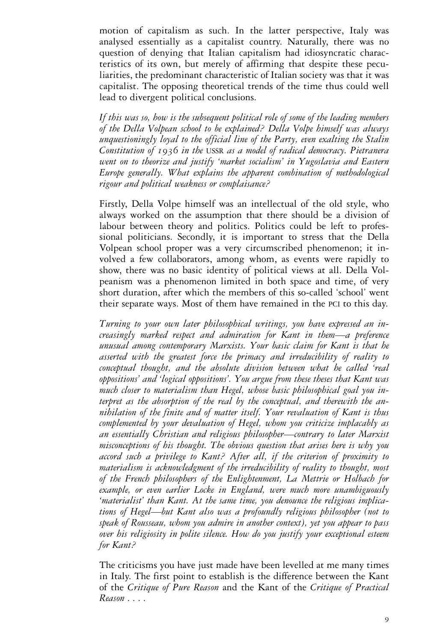motion of capitalism as such. In the latter perspective, Italy was analysed essentially as a capitalist country. Naturally, there was no question of denying that Italian capitalism had idiosyncratic characteristics of its own, but merely of affirming that despite these peculiarities, the predominant characteristic of Italian society was that it was capitalist. The opposing theoretical trends of the time thus could well lead to divergent political conclusions.

*If this was so, how is the subsequent political role of some of the leading members of the Della Volpean school to be explained? Della Volpe himself was always unquestioningly loyal to the official line of the Party, even exalting the Stalin Constitution of 1936 in the* USSR *as a model of radical democracy. Pietranera went on to theorize and justify 'market socialism' in Yugoslavia and Eastern Europe generally. What explains the apparent combination of methodological rigour and political weakness or complaisance?*

Firstly, Della Volpe himself was an intellectual of the old style, who always worked on the assumption that there should be a division of labour between theory and politics. Politics could be left to professional politicians. Secondly, it is important to stress that the Della Volpean school proper was a very circumscribed phenomenon; it involved a few collaborators, among whom, as events were rapidly to show, there was no basic identity of political views at all. Della Volpeanism was a phenomenon limited in both space and time, of very short duration, after which the members of this so-called 'school' went their separate ways. Most of them have remained in the PCI to this day.

*Turning to your own later philosophical writings, you have expressed an increasingly marked respect and admiration for Kant in them—a preference unusual among contemporary Marxists. Your basic claim for Kant is that he asserted with the greatest force the primacy and irreducibility of reality to conceptual thought, and the absolute division between what he called 'real oppositions' and 'logical oppositions'. You argue from these theses that Kant was much closer to materialism than Hegel, whose basic philosophical goal you interpret as the absorption of the real by the conceptual, and therewith the annihilation of the finite and of matter itself. Your revaluation of Kant is thus complemented by your devaluation of Hegel, whom you criticize implacably as an essentially Christian and religious philosopher—contrary to later Marxist misconceptions of his thought. The obvious question that arises here is why you accord such a privilege to Kant? After all, if the criterion of proximity to materialism is acknowledgment of the irreducibility of reality to thought, most of the French philosophers of the Enlightenment, La Mettrie or Holbach for example, or even earlier Locke in England, were much more unambiguously 'materialist' than Kant. At the same time, you denounce the religious implications of Hegel—but Kant also was a profoundly religious philosopher (not to speak of Rousseau, whom you admire in another context), yet you appear to pass over his religiosity in polite silence. How do you justify your exceptional esteem for Kant?*

The criticisms you have just made have been levelled at me many times in Italy. The first point to establish is the difference between the Kant of the *Critique of Pure Reason* and the Kant of the *Critique of Practical Reason* ....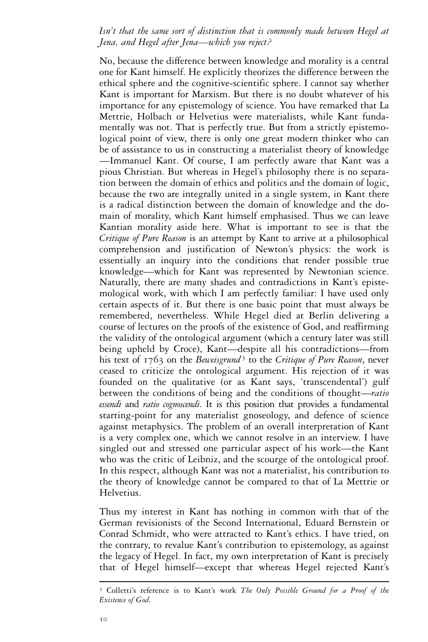#### *Isn't that the same sort of distinction that is commonly made between Hegel at Jena, and Hegel after Jena—which you reject?*

No, because the difference between knowledge and morality is a central one for Kant himself. He explicitly theorizes the difference between the ethical sphere and the cognitive-scientific sphere. I cannot say whether Kant is important for Marxism. But there is no doubt whatever of his importance for any epistemology of science. You have remarked that La Mettrie, Holbach or Helvetius were materialists, while Kant fundamentally was not. That is perfectly true. But from a strictly epistemological point of view, there is only one great modern thinker who can be of assistance to us in constructing a materialist theory of knowledge —Immanuel Kant. Of course, I am perfectly aware that Kant was a pious Christian. But whereas in Hegel's philosophy there is no separation between the domain of ethics and politics and the domain of logic, because the two are integrally united in a single system, in Kant there is a radical distinction between the domain of knowledge and the domain of morality, which Kant himself emphasised. Thus we can leave Kantian morality aside here. What is important to see is that the *Critique of Pure Reason* is an attempt by Kant to arrive at a philosophical comprehension and justification of Newton's physics: the work is essentially an inquiry into the conditions that render possible true knowledge—which for Kant was represented by Newtonian science. Naturally, there are many shades and contradictions in Kant's epistemological work, with which I am perfectly familiar: I have used only certain aspects of it. But there is one basic point that must always be remembered, nevertheless. While Hegel died at Berlin delivering a course of lectures on the proofs of the existence of God, and reaffirming the validity of the ontological argument (which a century later was still being upheld by Croce), Kant—despite all his contradictions—from his text of 1763 on the *Beweisgrund* <sup>3</sup> to the *Critique of Pure Reason*, never ceased to criticize the ontological argument. His rejection of it was founded on the qualitative (or as Kant says, 'transcendental') gulf between the conditions of being and the conditions of thought—*ratio essendi* and *ratio cognoscendi*. It is this position that provides a fundamental starting-point for any materialist gnoseology, and defence of science against metaphysics. The problem of an overall interpretation of Kant is a very complex one, which we cannot resolve in an interview. I have singled out and stressed one particular aspect of his work—the Kant who was the critic of Leibniz, and the scourge of the ontological proof. In this respect, although Kant was not a materialist, his contribution to the theory of knowledge cannot be compared to that of La Mettrie or Helvetius.

Thus my interest in Kant has nothing in common with that of the German revisionists of the Second International, Eduard Bernstein or Conrad Schmidt, who were attracted to Kant's ethics. I have tried, on the contrary, to revalue Kant's contribution to epistemology, as against the legacy of Hegel. In fact, my own interpretation of Kant is precisely that of Hegel himself—except that whereas Hegel rejected Kant's

<sup>3</sup> Colletti's reference is to Kant's work *The Only Possible Ground for a Proof of the Existence of God*.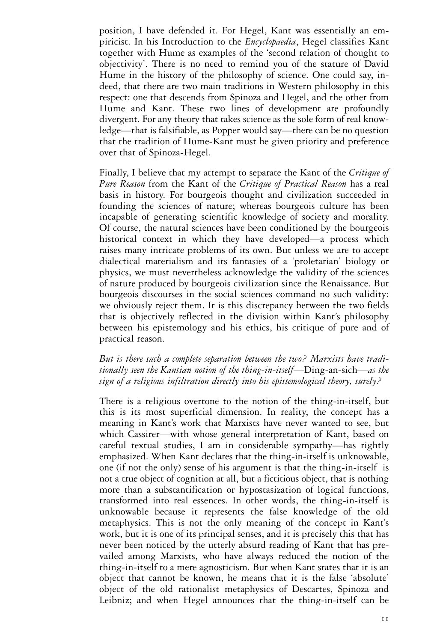position, I have defended it. For Hegel, Kant was essentially an empiricist. In his Introduction to the *Encyclopaedia*, Hegel classifies Kant together with Hume as examples of the 'second relation of thought to objectivity'. There is no need to remind you of the stature of David Hume in the history of the philosophy of science. One could say, indeed, that there are two main traditions in Western philosophy in this respect: one that descends from Spinoza and Hegel, and the other from Hume and Kant. These two lines of development are profoundly divergent. For any theory that takes science as the sole form of real knowledge—that is falsifiable, as Popper would say—there can be no question that the tradition of Hume-Kant must be given priority and preference over that of Spinoza-Hegel.

Finally, I believe that my attempt to separate the Kant of the *Critique of Pure Reason* from the Kant of the *Critique of Practical Reason* has a real basis in history. For bourgeois thought and civilization succeeded in founding the sciences of nature; whereas bourgeois culture has been incapable of generating scientific knowledge of society and morality. Of course, the natural sciences have been conditioned by the bourgeois historical context in which they have developed—a process which raises many intricate problems of its own. But unless we are to accept dialectical materialism and its fantasies of a 'proletarian' biology or physics, we must nevertheless acknowledge the validity of the sciences of nature produced by bourgeois civilization since the Renaissance. But bourgeois discourses in the social sciences command no such validity: we obviously reject them. It is this discrepancy between the two fields that is objectively reflected in the division within Kant's philosophy between his epistemology and his ethics, his critique of pure and of practical reason.

*But is there such a complete separation between the two? Marxists have traditionally seen the Kantian notion of the thing-in-itself—*Ding-an-sich*—as the sign of a religious infiltration directly into his epistemological theory, surely?*

There is a religious overtone to the notion of the thing-in-itself, but this is its most superficial dimension. In reality, the concept has a meaning in Kant's work that Marxists have never wanted to see, but which Cassirer—with whose general interpretation of Kant, based on careful textual studies, I am in considerable sympathy—has rightly emphasized. When Kant declares that the thing-in-itself is unknowable, one (if not the only) sense of his argument is that the thing-in-itself is not a true object of cognition at all, but a fictitious object, that is nothing more than a substantification or hypostasization of logical functions, transformed into real essences. In other words, the thing-in-itself is unknowable because it represents the false knowledge of the old metaphysics. This is not the only meaning of the concept in Kant's work, but it is one of its principal senses, and it is precisely this that has never been noticed by the utterly absurd reading of Kant that has prevailed among Marxists, who have always reduced the notion of the thing-in-itself to a mere agnosticism. But when Kant states that it is an object that cannot be known, he means that it is the false 'absolute' object of the old rationalist metaphysics of Descartes, Spinoza and Leibniz; and when Hegel announces that the thing-in-itself can be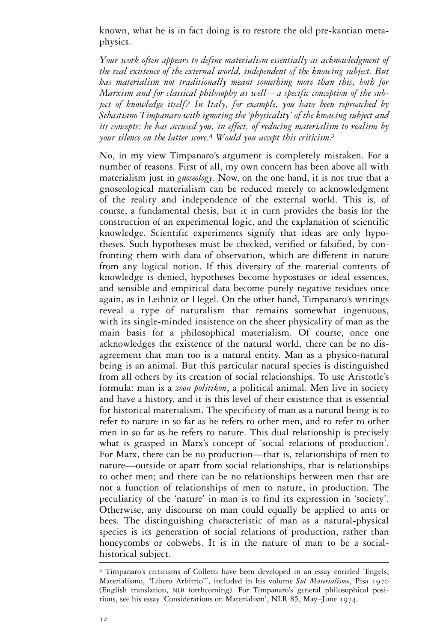known, what he is in fact doing is to restore the old pre-kantian metaphysics.

*Your work often appears to define materialism essentially as acknowledgment of the real existence of the external world, independent of the knowing subject. But has materialism not traditionally meant something more than this, both for Marxism and for classical philosophy as well—a specific conception of the subject of knowledge itself? In Italy, for example, you have been reproached by Sebastiano Timpanaro with ignoring the 'physicality' of the knowing subject and its concepts: he has accused you, in effect, of reducing materialism to realism by your silence on the latter score*. <sup>4</sup> *Would you accept this criticism?*

No, in my view Timpanaro's argument is completely mistaken. For a number of reasons. First of all, my own concern has been above all with materialism just in *gnoseology*. Now, on the one hand, it is not true that a gnoseological materialism can be reduced merely to acknowledgment of the reality and independence of the external world. This is, of course, a fundamental thesis, but it in turn provides the basis for the construction of an experimental logic, and the explanation of scientific knowledge. Scientific experiments signify that ideas are only hypotheses. Such hypotheses must be checked, verified or falsified, by confronting them with data of observation, which are different in nature from any logical notion. If this diversity of the material contents of knowledge is denied, hypotheses become hypostases or ideal essences, and sensible and empirical data become purely negative residues once again, as in Leibniz or Hegel. On the other hand, Timpanaro's writings reveal a type of naturalism that remains somewhat ingenuous, with its single-minded insistence on the sheer physicality of man as the main basis for a philosophical materialism. Of course, once one acknowledges the existence of the natural world, there can be no disagreement that man too is a natural entity. Man as a physico-natural being is an animal. But this particular natural species is distinguished from all others by its creation of social relationships. To use Aristotle's formula: man is a *zoon politikon*, a political animal. Men live in society and have a history, and it is this level of their existence that is essential for historical materialism. The specificity of man as a natural being is to refer to nature in so far as he refers to other men, and to refer to other men in so far as he refers to nature. This dual relationship is precisely what is grasped in Marx's concept of 'social relations of production'. For Marx, there can be no production—that is, relationships of men to nature—outside or apart from social relationships, that is relationships to other men; and there can be no relationships between men that are not a function of relationships of men to nature, in production. The peculiarity of the 'nature' in man is to find its expression in 'society'. Otherwise, any discourse on man could equally be applied to ants or bees. The distinguishing characteristic of man as a natural-physical species is its generation of social relations of production, rather than honeycombs or cobwebs. It is in the nature of man to be a socialhistorical subject.

<sup>4</sup> Timpanaro's criticisms of Colletti have been developed in an essay entitled 'Engels, Materialismo, "Libero Arbitrio"', included in his volume *Sul Materialismo*, Pisa 1970 (English translation, NLB forthcoming). For Timpanaro's general philosophical positions, see his essay 'Considerations on Materialism', NLR 85, May–June 1974.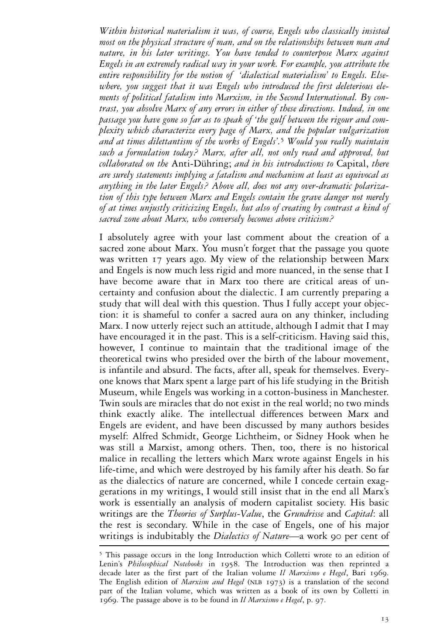*Within historical materialism it was, of course, Engels who classically insisted most on the physical structure of man, and on the relationships between man and nature, in his later writings. You have tended to counterpose Marx against Engels in an extremely radical way in your work. For example, you attribute the entire responsibility for the notion of 'dialectical materialism' to Engels. Elsewhere, you suggest that it was Engels who introduced the first deleterious elements of political fatalism into Marxism, in the Second International. By contrast, you absolve Marx of any errors in either of these directions. Indeed, in one passage you have gone so far as to speak of 'the gulf between the rigour and complexity which characterize every page of Marx, and the popular vulgarization and at times dilettantism of the works of Engels'.*<sup>5</sup> *Would you really maintain such a formulation today? Marx, after all, not only read and approved, but collaborated on the* Anti-Dühring; *and in his introductions to* Capital, *there are surely statements implying a fatalism and mechanism at least as equivocal as anything in the later Engels? Above all, does not any over-dramatic polarization of this type between Marx and Engels contain the grave danger not merely of at times unjustly criticizing Engels, but also of creating by contrast a kind of sacred zone about Marx, who conversely becomes above criticism?*

I absolutely agree with your last comment about the creation of a sacred zone about Marx. You musn't forget that the passage you quote was written 17 years ago. My view of the relationship between Marx and Engels is now much less rigid and more nuanced, in the sense that I have become aware that in Marx too there are critical areas of uncertainty and confusion about the dialectic. I am currently preparing a study that will deal with this question. Thus I fully accept your objection: it is shameful to confer a sacred aura on any thinker, including Marx. I now utterly reject such an attitude, although I admit that I may have encouraged it in the past. This is a self-criticism. Having said this, however, I continue to maintain that the traditional image of the theoretical twins who presided over the birth of the labour movement, is infantile and absurd. The facts, after all, speak for themselves. Everyone knows that Marx spent a large part of his life studying in the British Museum, while Engels was working in a cotton-business in Manchester. Twin souls are miracles that do not exist in the real world; no two minds think exactly alike. The intellectual differences between Marx and Engels are evident, and have been discussed by many authors besides myself: Alfred Schmidt, George Lichtheim, or Sidney Hook when he was still a Marxist, among others. Then, too, there is no historical malice in recalling the letters which Marx wrote against Engels in his life-time, and which were destroyed by his family after his death. So far as the dialectics of nature are concerned, while I concede certain exaggerations in my writings, I would still insist that in the end all Marx's work is essentially an analysis of modern capitalist society. His basic writings are the *Theories of Surplus-Value*, the *Grundrisse* and *Capital*: all the rest is secondary. While in the case of Engels, one of his major writings is indubitably the *Dialectics of Nature*—a work 90 per cent of

<sup>5</sup> This passage occurs in the long Introduction which Colletti wrote to an edition of Lenin's *Philosophical Notebooks* in 1958. The Introduction was then reprinted a decade later as the first part of the Italian volume *Il Marxismo e Hegel*, Bari 1969. The English edition of *Marxism and Hegel* (NLB 1973) is a translation of the second part of the Italian volume, which was written as a book of its own by Colletti in 1969. The passage above is to be found in *Il Marxismo e Hegel*, p. 97.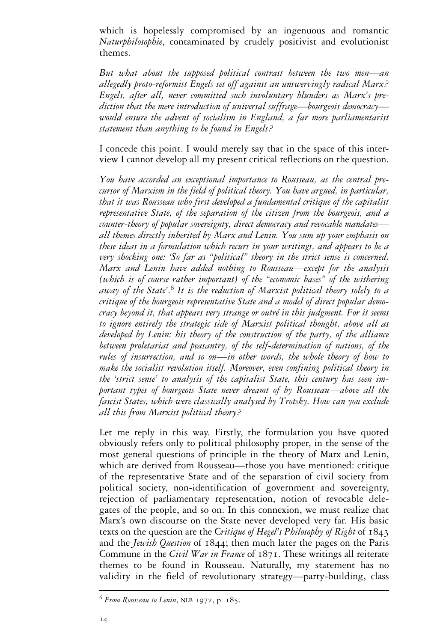which is hopelessly compromised by an ingenuous and romantic *Naturphilosophie*, contaminated by crudely positivist and evolutionist themes.

*But what about the supposed political contrast between the two men—an allegedly proto-reformist Engels set off against an unswervingly radical Marx? Engels, after all, never committed such involuntary blunders as Marx's prediction that the mere introduction of universal suffrage—bourgeois democracy would ensure the advent of socialism in England, a far more parliamentarist statement than anything to be found in Engels?*

I concede this point. I would merely say that in the space of this interview I cannot develop all my present critical reflections on the question.

*You have accorded an exceptional importance to Rousseau, as the central precursor of Marxism in the field of political theory. You have argued, in particular, that it was Rousseau who first developed a fundamental critique of the capitalist representative State, of the separation of the citizen from the bourgeois, and a counter-theory of popular sovereignty, direct democracy and revocable mandates all themes directly inherited by Marx and Lenin. You sum up your emphasis on these ideas in a formulation which recurs in your writings, and appears to be a very shocking one: 'So far as "political" theory in the strict sense is concerned, Marx and Lenin have added nothing to Rousseau—except for the analysis (which is of course rather important) of the "economic bases" of the withering away of the State'*. <sup>6</sup> *It is the reduction of Marxist political theory solely to a critique of the bourgeois representative State and a model of direct popular democracy beyond it, that appears very strange or outré in this judgment. For it seems to ignore entirely the strategic side of Marxist political thought, above all as developed by Lenin: his theory of the construction of the party, of the alliance between proletariat and peasantry, of the self-determination of nations, of the rules of insurrection, and so on—in other words, the whole theory of how to make the socialist revolution itself. Moreover, even confining political theory in the 'strict sense' to analysis of the capitalist State, this century has seen important types of bourgeois State never dreamt of by Rousseau—above all the fascist States, which were classically analysed by Trotsky. How can you exclude all this from Marxist political theory?*

Let me reply in this way. Firstly, the formulation you have quoted obviously refers only to political philosophy proper, in the sense of the most general questions of principle in the theory of Marx and Lenin, which are derived from Rousseau—those you have mentioned: critique of the representative State and of the separation of civil society from political society, non-identification of government and sovereignty, rejection of parliamentary representation, notion of revocable delegates of the people, and so on. In this connexion, we must realize that Marx's own discourse on the State never developed very far. His basic texts on the question are the C*ritique of Hegel's Philosophy of Right* of 1843 and the *Jewish Question* of 1844; then much later the pages on the Paris Commune in the *Civil War in France* of 1871. These writings all reiterate themes to be found in Rousseau. Naturally, my statement has no validity in the field of revolutionary strategy—party-building, class

<sup>6</sup> *From Rousseau to Lenin*, NLB 1972, p. 185.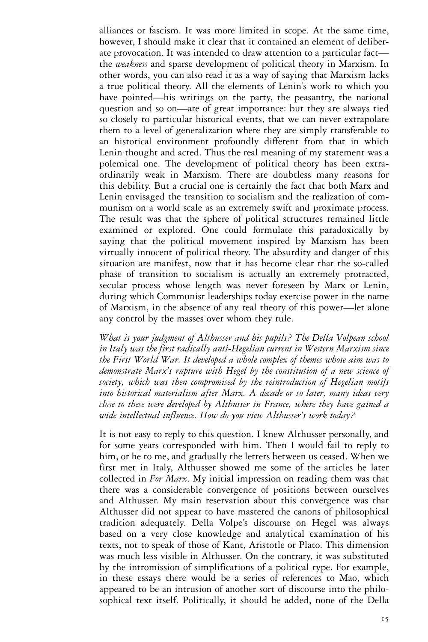alliances or fascism. It was more limited in scope. At the same time, however, I should make it clear that it contained an element of deliberate provocation. It was intended to draw attention to a particular fact the *weakness* and sparse development of political theory in Marxism. In other words, you can also read it as a way of saying that Marxism lacks a true political theory. All the elements of Lenin's work to which you have pointed—his writings on the party, the peasantry, the national question and so on—are of great importance: but they are always tied so closely to particular historical events, that we can never extrapolate them to a level of generalization where they are simply transferable to an historical environment profoundly different from that in which Lenin thought and acted. Thus the real meaning of my statement was a polemical one. The development of political theory has been extraordinarily weak in Marxism. There are doubtless many reasons for this debility. But a crucial one is certainly the fact that both Marx and Lenin envisaged the transition to socialism and the realization of communism on a world scale as an extremely swift and proximate process. The result was that the sphere of political structures remained little examined or explored. One could formulate this paradoxically by saying that the political movement inspired by Marxism has been virtually innocent of political theory. The absurdity and danger of this situation are manifest, now that it has become clear that the so-called phase of transition to socialism is actually an extremely protracted, secular process whose length was never foreseen by Marx or Lenin, during which Communist leaderships today exercise power in the name of Marxism, in the absence of any real theory of this power—let alone any control by the masses over whom they rule.

*What is your judgment of Althusser and his pupils? The Della Volpean school in Italy was the first radically anti-Hegelian current in Western Marxism since the First World War. It developed a whole complex of themes whose aim was to demonstrate Marx's rupture with Hegel by the constitution of a new science of society, which was then compromised by the reintroduction of Hegelian motifs into historical materialism after Marx. A decade or so later, many ideas very close to these were developed by Althusser in France, where they have gained a wide intellectual influence. How do you view Althusser's work today?*

It is not easy to reply to this question. I knew Althusser personally, and for some years corresponded with him. Then I would fail to reply to him, or he to me, and gradually the letters between us ceased. When we first met in Italy, Althusser showed me some of the articles he later collected in *For Marx*. My initial impression on reading them was that there was a considerable convergence of positions between ourselves and Althusser. My main reservation about this convergence was that Althusser did not appear to have mastered the canons of philosophical tradition adequately. Della Volpe's discourse on Hegel was always based on a very close knowledge and analytical examination of his texts, not to speak of those of Kant, Aristotle or Plato. This dimension was much less visible in Althusser. On the contrary, it was substituted by the intromission of simplifications of a political type. For example, in these essays there would be a series of references to Mao, which appeared to be an intrusion of another sort of discourse into the philosophical text itself. Politically, it should be added, none of the Della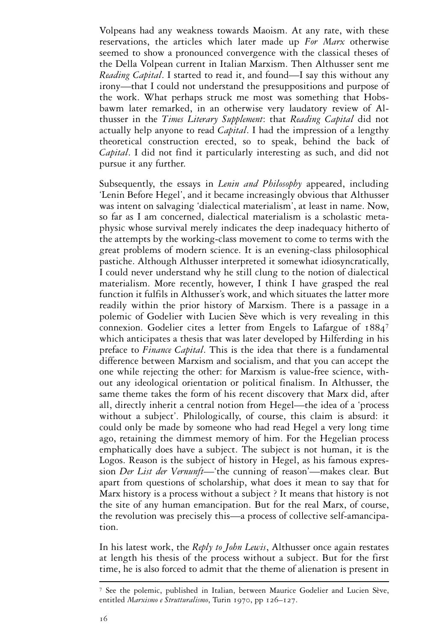Volpeans had any weakness towards Maoism. At any rate, with these reservations, the articles which later made up *For Marx* otherwise seemed to show a pronounced convergence with the classical theses of the Della Volpean current in Italian Marxism. Then Althusser sent me *Reading Capital*. I started to read it, and found—I say this without any irony—that I could not understand the presuppositions and purpose of the work. What perhaps struck me most was something that Hobsbawm later remarked, in an otherwise very laudatory review of Althusser in the *Times Literary Supplement*: that *Reading Capital* did not actually help anyone to read *Capital*. I had the impression of a lengthy theoretical construction erected, so to speak, behind the back of *Capital*. I did not find it particularly interesting as such, and did not pursue it any further.

Subsequently, the essays in *Lenin and Philosophy* appeared, including 'Lenin Before Hegel', and it became increasingly obvious that Althusser was intent on salvaging 'dialectical materialism', at least in name. Now, so far as I am concerned, dialectical materialism is a scholastic metaphysic whose survival merely indicates the deep inadequacy hitherto of the attempts by the working-class movement to come to terms with the great problems of modern science. It is an evening-class philosophical pastiche. Although Althusser interpreted it somewhat idiosyncratically, I could never understand why he still clung to the notion of dialectical materialism. More recently, however, I think I have grasped the real function it fulfils in Althusser's work, and which situates the latter more readily within the prior history of Marxism. There is a passage in a polemic of Godelier with Lucien Sève which is very revealing in this connexion. Godelier cites a letter from Engels to Lafargue of 18847 which anticipates a thesis that was later developed by Hilferding in his preface to *Finance Capital*. This is the idea that there is a fundamental difference between Marxism and socialism, and that you can accept the one while rejecting the other: for Marxism is value-free science, without any ideological orientation or political finalism. In Althusser, the same theme takes the form of his recent discovery that Marx did, after all, directly inherit a central notion from Hegel—the idea of a 'process without a subject'. Philologically, of course, this claim is absurd: it could only be made by someone who had read Hegel a very long time ago, retaining the dimmest memory of him. For the Hegelian process emphatically does have a subject. The subject is not human, it is the Logos. Reason is the subject of history in Hegel, as his famous expression *Der List der Vernunft*—'the cunning of reason'—makes clear. But apart from questions of scholarship, what does it mean to say that for Marx history is a process without a subject ? It means that history is not the site of any human emancipation. But for the real Marx, of course, the revolution was precisely this—a process of collective self-amancipation.

In his latest work, the *Reply to John Lewis*, Althusser once again restates at length his thesis of the process without a subject. But for the first time, he is also forced to admit that the theme of alienation is present in

<sup>7</sup> See the polemic, published in Italian, between Maurice Godelier and Lucien Sève, entitled *Marxismo e Strutturalismo*, Turin 1970, pp 126–127.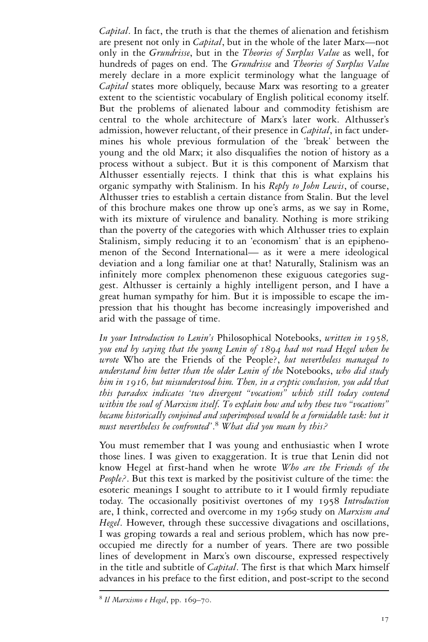*Capital*. In fact, the truth is that the themes of alienation and fetishism are present not only in *Capital*, but in the whole of the later Marx—not only in the *Grundrisse*, but in the *Theories of Surplus Value* as well, for hundreds of pages on end. The *Grundrisse* and *Theories of Surplus Value* merely declare in a more explicit terminology what the language of *Capital* states more obliquely, because Marx was resorting to a greater extent to the scientistic vocabulary of English political economy itself. But the problems of alienated labour and commodity fetishism are central to the whole architecture of Marx's later work. Althusser's admission, however reluctant, of their presence in *Capital*, in fact undermines his whole previous formulation of the 'break' between the young and the old Marx; it also disqualifies the notion of history as a process without a subject. But it is this component of Marxism that Althusser essentially rejects. I think that this is what explains his organic sympathy with Stalinism. In his *Reply to John Lewis*, of course, Althusser tries to establish a certain distance from Stalin. But the level of this brochure makes one throw up one's arms, as we say in Rome, with its mixture of virulence and banality. Nothing is more striking than the poverty of the categories with which Althusser tries to explain Stalinism, simply reducing it to an 'economism' that is an epiphenomenon of the Second International— as it were a mere ideological deviation and a long familiar one at that! Naturally, Stalinism was an infinitely more complex phenomenon these exiguous categories suggest. Althusser is certainly a highly intelligent person, and I have a great human sympathy for him. But it is impossible to escape the impression that his thought has become increasingly impoverished and arid with the passage of time.

*In your Introduction to Lenin's* Philosophical Notebooks, *written in 1958, you end by saying that the young Lenin of 1894 had not read Hegel when he wrote* Who are the Friends of the People?, *but nevertheless managed to understand him better than the older Lenin of the* Notebooks, *who did study him in 1916, but misunderstood him. Then, in a cryptic conclusion, you add that this paradox indicates 'two divergent "vocations" which still today contend within the soul of Marxism itself. To explain how and why these two "vocations" became historically conjoined and superimposed would be a formidable task: but it must nevertheless be confronted*'.<sup>8</sup> *What did you mean by this?*

You must remember that I was young and enthusiastic when I wrote those lines. I was given to exaggeration. It is true that Lenin did not know Hegel at first-hand when he wrote *Who are the Friends of the People?*. But this text is marked by the positivist culture of the time: the esoteric meanings I sought to attribute to it I would firmly repudiate today. The occasionally positivist overtones of my 1958 *Introduction* are, I think, corrected and overcome in my 1969 study on *Marxism and Hegel*. However, through these successive divagations and oscillations, I was groping towards a real and serious problem, which has now preoccupied me directly for a number of years. There are two possible lines of development in Marx's own discourse, expressed respectively in the title and subtitle of *Capital*. The first is that which Marx himself advances in his preface to the first edition, and post-script to the second

<sup>8</sup> *Il Marxismo e Hegel*, pp. 169–70.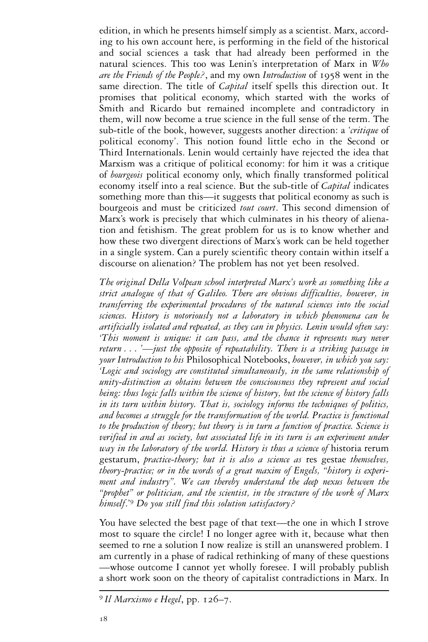edition, in which he presents himself simply as a scientist. Marx, according to his own account here, is performing in the field of the historical and social sciences a task that had already been performed in the natural sciences. This too was Lenin's interpretation of Marx in *Who are the Friends of the People?*, and my own *Introduction* of 1958 went in the same direction. The title of *Capital* itself spells this direction out. It promises that political economy, which started with the works of Smith and Ricardo but remained incomplete and contradictory in them, will now become a true science in the full sense of the term. The sub-title of the book, however, suggests another direction: a '*critique* of political economy'. This notion found little echo in the Second or Third Internationals. Lenin would certainly have rejected the idea that Marxism was a critique of political economy: for him it was a critique of *bourgeois* political economy only, which finally transformed political economy itself into a real science. But the sub-title of *Capital* indicates something more than this—it suggests that political economy as such is bourgeois and must be criticized *tout court*. This second dimension of Marx's work is precisely that which culminates in his theory of alienation and fetishism. The great problem for us is to know whether and how these two divergent directions of Marx's work can be held together in a single system. Can a purely scientific theory contain within itself a discourse on alienation? The problem has not yet been resolved.

*The original Della Volpean school interpreted Marx's work as something like a strict analogue of that of Galileo. There are obvious difficulties, however, in transferring the experimental procedures of the natural sciences into the social sciences. History is notoriously not a laboratory in which phenomena can be artificially isolated and repeated, as they can in physics. Lenin would often say: 'This moment is unique: it can pass, and the chance it represents may never return... '—just the opposite of repeatability. There is a striking passage in your Introduction to his* Philosophical Notebooks, *however, in which you say: 'Logic and sociology are constituted simultaneously, in the same relationship of unity-distinction as obtains between the consciousness they represent and social being: thus logic falls within the science of history, but the science of history falls in its turn within history. That is, sociology informs the techniques of politics, and becomes a struggle for the transformation of the world. Practice is functional to the production of theory; but theory is in turn a function of practice. Science is verified in and as society, but associated life in its turn is an experiment under way in the laboratory of the world. History is thus a science of historia rerum* gestarum, *practice-theory; but it is also a science as* res gestae *themselves, theory-practice; or in the words of a great maxim of Engels, "history is experiment and industry". We can thereby understand the deep nexus between the "prophet" or politician, and the scientist, in the structure of the work of Marx himself*.'<sup>9</sup> *Do you still find this solution satisfactory?*

You have selected the best page of that text—the one in which I strove most to square the circle! I no longer agree with it, because what then seemed to rne a solution I now realize is still an unanswered problem. I am currently in a phase of radical rethinking of many of these questions —whose outcome I cannot yet wholly foresee. I will probably publish a short work soon on the theory of capitalist contradictions in Marx. In

<sup>9</sup> *Il Marxismo e Hegel*, pp. 126–7.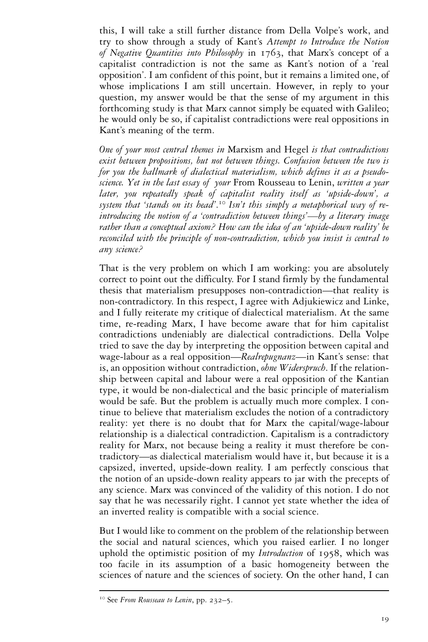this, I will take a still further distance from Della Volpe's work, and try to show through a study of Kant's *Attempt to Introduce the Notion of Negative Quantities into Philosophy* in 1763, that Marx's concept of a capitalist contradiction is not the same as Kant's notion of a 'real opposition'. I am confident of this point, but it remains a limited one, of whose implications I am still uncertain. However, in reply to your question, my answer would be that the sense of my argument in this forthcoming study is that Marx cannot simply be equated with Galileo; he would only be so, if capitalist contradictions were real oppositions in Kant's meaning of the term.

*One of your most central themes in* Marxism and Hegel *is that contradictions exist between propositions, but not between things. Confusion between the two is for you the hallmark of dialectical materialism, which defines it as a pseudoscience. Yet in the last essay of your* From Rousseau to Lenin, *written a year later, you repeatedly speak of capitalist reality itself as 'upside-down', a system that 'stands on its head'*. <sup>10</sup> *Isn't this simply a metaphorical way of reintroducing the notion of a 'contradiction between things'—by a literary image rather than a conceptual axiom? How can the idea of an 'upside-down reality' be reconciled with the principle of non-contradiction, which you insist is central to any science?*

That is the very problem on which I am working: you are absolutely correct to point out the difficulty. For I stand firmly by the fundamental thesis that materialism presupposes non-contradiction—that reality is non-contradictory. In this respect, I agree with Adjukiewicz and Linke, and I fully reiterate my critique of dialectical materialism. At the same time, re-reading Marx, I have become aware that for him capitalist contradictions undeniably are dialectical contradictions. Della Volpe tried to save the day by interpreting the opposition between capital and wage-labour as a real opposition—*Realrepugnanz*—in Kant's sense: that is, an opposition without contradiction, *ohne Widerspruch*. If the relationship between capital and labour were a real opposition of the Kantian type, it would be non-dialectical and the basic principle of materialism would be safe. But the problem is actually much more complex. I continue to believe that materialism excludes the notion of a contradictory reality: yet there is no doubt that for Marx the capital/wage-labour relationship is a dialectical contradiction. Capitalism is a contradictory reality for Marx, not because being a reality it must therefore be contradictory—as dialectical materialism would have it, but because it is a capsized, inverted, upside-down reality. I am perfectly conscious that the notion of an upside-down reality appears to jar with the precepts of any science. Marx was convinced of the validity of this notion. I do not say that he was necessarily right. I cannot yet state whether the idea of an inverted reality is compatible with a social science.

But I would like to comment on the problem of the relationship between the social and natural sciences, which you raised earlier. I no longer uphold the optimistic position of my *Introduction* of 1958, which was too facile in its assumption of a basic homogeneity between the sciences of nature and the sciences of society. On the other hand, I can

<sup>10</sup> See *From Rousseau to Lenin*, pp. 232–5.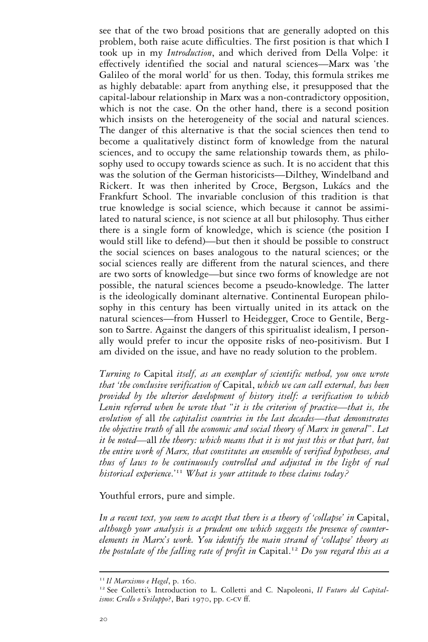see that of the two broad positions that are generally adopted on this problem, both raise acute difficulties. The first position is that which I took up in my *Introduction*, and which derived from Della Volpe: it effectively identified the social and natural sciences—Marx was 'the Galileo of the moral world' for us then. Today, this formula strikes me as highly debatable: apart from anything else, it presupposed that the capital-labour relationship in Marx was a non-contradictory opposition, which is not the case. On the other hand, there is a second position which insists on the heterogeneity of the social and natural sciences. The danger of this alternative is that the social sciences then tend to become a qualitatively distinct form of knowledge from the natural sciences, and to occupy the same relationship towards them, as philosophy used to occupy towards science as such. It is no accident that this was the solution of the German historicists—Dilthey, Windelband and Rickert. It was then inherited by Croce, Bergson, Lukács and the Frankfurt School. The invariable conclusion of this tradition is that true knowledge is social science, which because it cannot be assimilated to natural science, is not science at all but philosophy. Thus either there is a single form of knowledge, which is science (the position I would still like to defend)—but then it should be possible to construct the social sciences on bases analogous to the natural sciences; or the social sciences really are different from the natural sciences, and there are two sorts of knowledge—but since two forms of knowledge are not possible, the natural sciences become a pseudo-knowledge. The latter is the ideologically dominant alternative. Continental European philosophy in this century has been virtually united in its attack on the natural sciences—from Husserl to Heidegger, Croce to Gentile, Bergson to Sartre. Against the dangers of this spiritualist idealism, I personally would prefer to incur the opposite risks of neo-positivism. But I am divided on the issue, and have no ready solution to the problem.

*Turning to* Capital *itself, as an exemplar of scientific method, you once wrote that 'the conclusive verification of* Capital, *which we can call external, has been provided by the ulterior development of history itself: a verification to which Lenin referred when he wrote that* "*it is the criterion of practice—that is, the evolution of* all *the capitalist countries in the last decades—that demonstrates the objective truth of* all *the economic and social theory of Marx in general*". *Let it be noted—*all *the theory: which means that it is not just this or that part, but the entire work of Marx, that constitutes an ensemble of verified hypotheses, and thus of laws to be continuously controlled and adjusted in the light of real historical experience*.'<sup>11</sup> *What is your attitude to these claims today?*

Youthful errors, pure and simple.

In a recent text, you seem to accept that there is a theory of 'collapse' in Capital, *although your analysis is a prudent one which suggests the presence of counterelements in Marx*'*s work. You identify the main strand of 'collapse' theory as the postulate of the falling rate of profit in* Capital.<sup>12</sup> *Do you regard this as a*

<sup>&</sup>lt;sup>11</sup> *Il Marxismo e Hegel*, p. 160.<br><sup>12</sup> See Colletti's Introduction to L. Colletti and C. Napoleoni, *Il Futuro del Capitalismo*: *Crollo o Sviluppo*?, Bari 1970, pp. C-CV ff.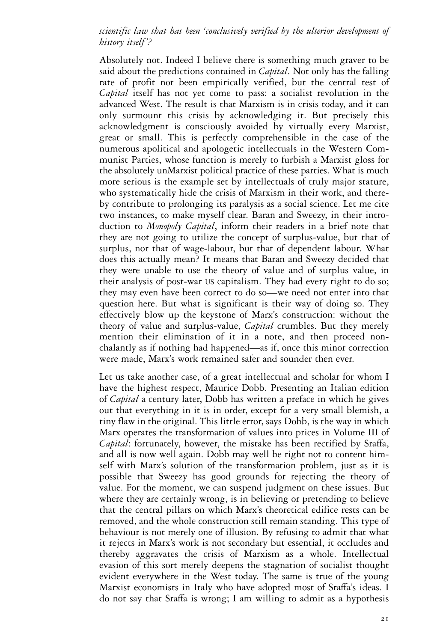### *scientific law that has been 'conclusively verified by the ulterior development of history itself'?*

Absolutely not. Indeed I believe there is something much graver to be said about the predictions contained in *Capital*. Not only has the falling rate of profit not been empirically verified, but the central test of *Capital* itself has not yet come to pass: a socialist revolution in the advanced West. The result is that Marxism is in crisis today, and it can only surmount this crisis by acknowledging it. But precisely this acknowledgment is consciously avoided by virtually every Marxist, great or small. This is perfectly comprehensible in the case of the numerous apolitical and apologetic intellectuals in the Western Communist Parties, whose function is merely to furbish a Marxist gloss for the absolutely unMarxist political practice of these parties. What is much more serious is the example set by intellectuals of truly major stature, who systematically hide the crisis of Marxism in their work, and thereby contribute to prolonging its paralysis as a social science. Let me cite two instances, to make myself clear. Baran and Sweezy, in their introduction to *Monopoly Capital*, inform their readers in a brief note that they are not going to utilize the concept of surplus-value, but that of surplus, nor that of wage-labour, but that of dependent labour. What does this actually mean? It means that Baran and Sweezy decided that they were unable to use the theory of value and of surplus value, in their analysis of post-war US capitalism. They had every right to do so; they may even have been correct to do so—we need not enter into that question here. But what is significant is their way of doing so. They effectively blow up the keystone of Marx's construction: without the theory of value and surplus-value, *Capital* crumbles. But they merely mention their elimination of it in a note, and then proceed nonchalantly as if nothing had happened—as if, once this minor correction were made, Marx's work remained safer and sounder then ever.

Let us take another case, of a great intellectual and scholar for whom I have the highest respect, Maurice Dobb. Presenting an Italian edition of *Capital* a century later, Dobb has written a preface in which he gives out that everything in it is in order, except for a very small blemish, a tiny flaw in the original. This little error, says Dobb, is the way in which Marx operates the transformation of values into prices in Volume III of *Capital*: fortunately, however, the mistake has been rectified by Sraffa, and all is now well again. Dobb may well be right not to content himself with Marx's solution of the transformation problem, just as it is possible that Sweezy has good grounds for rejecting the theory of value. For the moment, we can suspend judgment on these issues. But where they are certainly wrong, is in believing or pretending to believe that the central pillars on which Marx's theoretical edifice rests can be removed, and the whole construction still remain standing. This type of behaviour is not merely one of illusion. By refusing to admit that what it rejects in Marx's work is not secondary but essential, it occludes and thereby aggravates the crisis of Marxism as a whole. Intellectual evasion of this sort merely deepens the stagnation of socialist thought evident everywhere in the West today. The same is true of the young Marxist economists in Italy who have adopted most of Sraffa's ideas. I do not say that Sraffa is wrong; I am willing to admit as a hypothesis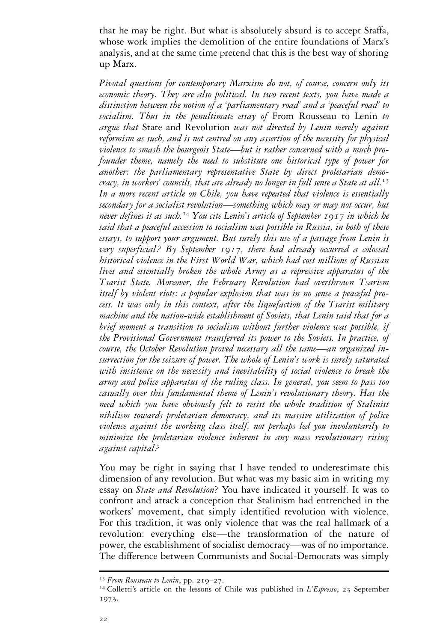that he may be right. But what is absolutely absurd is to accept Sraffa, whose work implies the demolition of the entire foundations of Marx's analysis, and at the same time pretend that this is the best way of shoring up Marx.

*Pivotal questions for contemporary Marxism do not, of course, concern only its economic theory. They are also political. In two recent texts, you have made a distinction between the notion of a 'parliamentary road' and a 'peaceful road' to socialism. Thus in the penultimate essay of* From Rousseau to Lenin *to argue that* State and Revolution *was not directed by Lenin merely against reformism as such, and is not centred on any assertion of the necessity for physical violence to smash the bourgeois State—but is rather concerned with a much profounder theme, namely the need to substitute one historical type of power for another: the parliamentary representative State by direct proletarian democracy, in workers*' *councils, that are already no longer in full sense a State at all.*<sup>13</sup> *In a more recent article on Chile, you have repeated that violence is essentially secondary for a socialist revolution—something which may or may not occur, but never defines it as such.*<sup>14</sup> *You cite Lenin*'*s article of September 1917 in which he said that a peaceful accession to socialism was possible in Russia, in both of these essays, to support your argument. But surely this use of a passage from Lenin is very superficial? By September 1917, there had already occurred a colossal historical violence in the First World War, which had cost millions of Russian lives and essentially broken the whole Army as a repressive apparatus of the Tsarist State. Moreover, the February Revolution had overthrown Tsarism itself by violent riots: a popular explosion that was in no sense a peaceful process. It was only in this context, after the liquefaction of the Tsarist military machine and the nation-wide establishment of Soviets, that Lenin said that for a brief moment a transition to socialism without further violence was possible, if the Provisional Government transferred its power to the Soviets. In practice, of course, the October Revolution proved necessary all the same—an organized insurrection for the seizure of power. The whole of Lenin's work is surely saturated with insistence on the necessity and inevitability of social violence to break the army and police apparatus of the ruling class. In general, you seem to pass too casually over this fundamental theme of Lenin's revolutionary theory. Has the need which you have obviously felt to resist the whole tradition of Stalinist nihilism towards proletarian democracy, and its massive utilization of police violence against the working class itself, not perhaps led you involuntarily to minimize the proletarian violence inherent in any mass revolutionary rising against capital?*

You may be right in saying that I have tended to underestimate this dimension of any revolution. But what was my basic aim in writing my essay on *State and Revolution*? You have indicated it yourself. It was to confront and attack a conception that Stalinism had entrenched in the workers' movement, that simply identified revolution with violence. For this tradition, it was only violence that was the real hallmark of a revolution: everything else—the transformation of the nature of power, the establishment of socialist democracy—was of no importance. The difference between Communists and Social-Democrats was simply

<sup>&</sup>lt;sup>13</sup> *From Rousseau to Lenin*, pp. 219–27.<br><sup>14</sup> Colletti's article on the lessons of Chile was published in *L'Espresso*, 23 September 1973.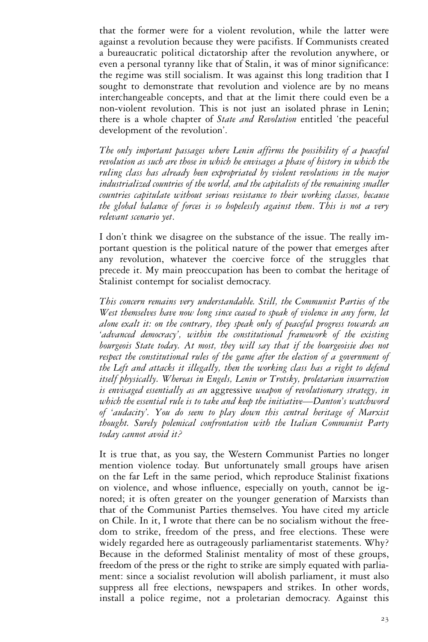that the former were for a violent revolution, while the latter were against a revolution because they were pacifists. If Communists created a bureaucratic political dictatorship after the revolution anywhere, or even a personal tyranny like that of Stalin, it was of minor significance: the regime was still socialism. It was against this long tradition that I sought to demonstrate that revolution and violence are by no means interchangeable concepts, and that at the limit there could even be a non-violent revolution. This is not just an isolated phrase in Lenin; there is a whole chapter of *State and Revolution* entitled 'the peaceful development of the revolution'.

*The only important passages where Lenin affirms the possibility of a peaceful revolution as such are those in which he envisages a phase of history in which the ruling class has already been expropriated by violent revolutions in the major industrialized countries of the world, and the capitalists of the remaining smaller countries capitulate without serious resistance to their working classes, because the global balance of forces is so hopelessly against them*. *This is not a very relevant scenario yet*.

I don't think we disagree on the substance of the issue. The really important question is the political nature of the power that emerges after any revolution, whatever the coercive force of the struggles that precede it. My main preoccupation has been to combat the heritage of Stalinist contempt for socialist democracy.

*This concern remains very understandable. Still, the Communist Parties of the West themselves have now long since ceased to speak of violence in any form, let alone exalt it: on the contrary, they speak only of peaceful progress towards an 'advanced democracy', within the constitutional framework of the existing bourgeois State today. At most, they will say that if the bourgeoisie does not respect the constitutional rules of the game after the election of a government of the Left and attacks it illegally, then the working class has a right to defend itself physically. Whereas in Engels, Lenin or Trotsky, proletarian insurrection is envisaged essentially as an* aggressive *weapon of revolutionary strategy, in which the essential rule is to take and keep the initiative—Danton's watchword of 'audacity'. You do seem to play down this central heritage of Marxist thought. Surely polemical confrontation with the Italian Communist Party today cannot avoid it?*

It is true that, as you say, the Western Communist Parties no longer mention violence today. But unfortunately small groups have arisen on the far Left in the same period, which reproduce Stalinist fixations on violence, and whose influence, especially on youth, cannot be ignored; it is often greater on the younger generation of Marxists than that of the Communist Parties themselves. You have cited my article on Chile. In it, I wrote that there can be no socialism without the freedom to strike, freedom of the press, and free elections. These were widely regarded here as outrageously parliamentarist statements. Why? Because in the deformed Stalinist mentality of most of these groups, freedom of the press or the right to strike are simply equated with parliament: since a socialist revolution will abolish parliament, it must also suppress all free elections, newspapers and strikes. In other words, install a police regime, not a proletarian democracy. Against this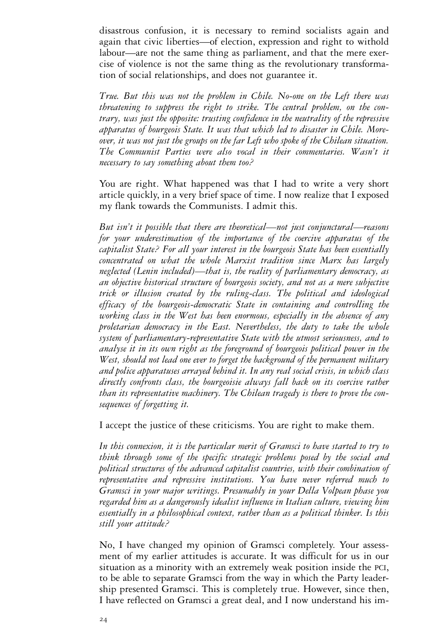disastrous confusion, it is necessary to remind socialists again and again that civic liberties—of election, expression and right to withold labour—are not the same thing as parliament, and that the mere exercise of violence is not the same thing as the revolutionary transformation of social relationships, and does not guarantee it.

*True. But this was not the problem in Chile. No-one on the Left there was threatening to suppress the right to strike. The central problem, on the contrary, was just the opposite: trusting confidence in the neutrality of the repressive apparatus of bourgeois State. It was that which led to disaster in Chile. Moreover, it was not just the groups on the far Left who spoke of the Chilean situation. The Communist Parties were also vocal in their commentaries. Wasn't it necessary to say something about them too?*

You are right. What happened was that I had to write a very short article quickly, in a very brief space of time. I now realize that I exposed my flank towards the Communists. I admit this.

*But isn't it possible that there are theoretical—not just conjunctural—reasons for your underestimation of the importance of the coercive apparatus of the capitalist State? For all your interest in the bourgeois State has been essentially concentrated on what the whole Marxist tradition since Marx has largely neglected (Lenin included)—that is, the reality of parliamentary democracy, as an objective historical structure of bourgeois society, and not as a mere subjective trick or illusion created by the ruling-class. The political and ideological efficacy of the bourgeois-democratic State in containing and controlling the working class in the West has been enormous, especially in the absence of any proletarian democracy in the East. Nevertheless, the duty to take the whole system of parliamentary-representative State with the utmost seriousness, and to analyse it in its own right as the foreground of bourgeois political power in the West, should not lead one ever to forget the background of the permanent military and police apparatuses arrayed behind it. In any real social crisis, in which class directly confronts class, the bourgeoisie always fall back on its coercive rather than its representative machinery. The Chilean tragedy is there to prove the consequences of forgetting it.*

I accept the justice of these criticisms. You are right to make them.

*In this connexion, it is the particular merit of Gramsci to have started to try to think through some of the specific strategic problems posed by the social and political structures of the advanced capitalist countries, with their combination of representative and repressive institutions. You have never referred much to Gramsci in your major writings. Presumably in your Della Volpean phase you regarded him as a dangerously idealist influence in Italian culture, viewing him essentially in a philosophical context, rather than as a political thinker. Is this still your attitude?*

No, I have changed my opinion of Gramsci completely. Your assessment of my earlier attitudes is accurate. It was difficult for us in our situation as a minority with an extremely weak position inside the PCI, to be able to separate Gramsci from the way in which the Party leadership presented Gramsci. This is completely true. However, since then, I have reflected on Gramsci a great deal, and I now understand his im-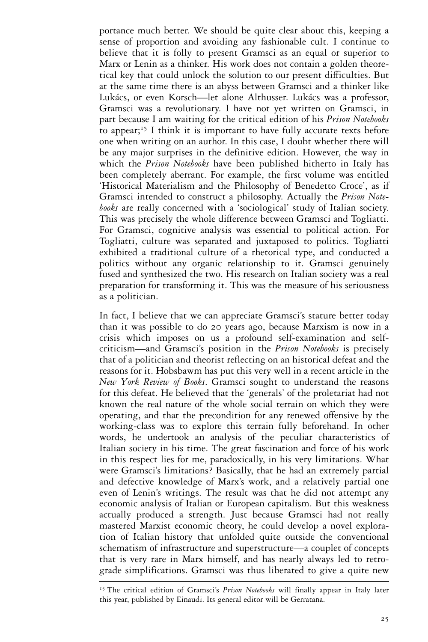portance much better. We should be quite clear about this, keeping a sense of proportion and avoiding any fashionable cult. I continue to believe that it is folly to present Gramsci as an equal or superior to Marx or Lenin as a thinker. His work does not contain a golden theoretical key that could unlock the solution to our present difficulties. But at the same time there is an abyss between Gramsci and a thinker like Lukács, or even Korsch—let alone Althusser. Lukács was a professor, Gramsci was a revolutionary. I have not yet written on Gramsci, in part because I am waiting for the critical edition of his *Prison Notebooks* to appear;<sup>15</sup> I think it is important to have fully accurate texts before one when writing on an author. In this case, I doubt whether there will be any major surprises in the definitive edition. However, the way in which the *Prison Notebooks* have been published hitherto in Italy has been completely aberrant. For example, the first volume was entitled 'Historical Materialism and the Philosophy of Benedetto Croce', as if Gramsci intended to construct a philosophy. Actually the *Prison Notebooks* are really concerned with a 'sociological' study of Italian society. This was precisely the whole difference between Gramsci and Togliatti. For Gramsci, cognitive analysis was essential to political action. For Togliatti, culture was separated and juxtaposed to politics. Togliatti exhibited a traditional culture of a rhetorical type, and conducted a politics without any organic relationship to it. Gramsci genuinely fused and synthesized the two. His research on Italian society was a real preparation for transforming it. This was the measure of his seriousness as a politician.

In fact, I believe that we can appreciate Gramsci's stature better today than it was possible to do 20 years ago, because Marxism is now in a crisis which imposes on us a profound self-examination and selfcriticism—and Gramsci's position in the *Prison Notebooks* is precisely that of a politician and theorist reflecting on an historical defeat and the reasons for it. Hobsbawm has put this very well in a recent article in the *New York Review of Books*. Gramsci sought to understand the reasons for this defeat. He believed that the 'generals' of the proletariat had not known the real nature of the whole social terrain on which they were operating, and that the precondition for any renewed offensive by the working-class was to explore this terrain fully beforehand. In other words, he undertook an analysis of the peculiar characteristics of Italian society in his time. The great fascination and force of his work in this respect lies for me, paradoxically, in his very limitations. What were Gramsci's limitations? Basically, that he had an extremely partial and defective knowledge of Marx's work, and a relatively partial one even of Lenin's writings. The result was that he did not attempt any economic analysis of Italian or European capitalism. But this weakness actually produced a strength. Just because Gramsci had not really mastered Marxist economic theory, he could develop a novel exploration of Italian history that unfolded quite outside the conventional schematism of infrastructure and superstructure—a couplet of concepts that is very rare in Marx himself, and has nearly always led to retrograde simplifications. Gramsci was thus liberated to give a quite new

<sup>&</sup>lt;sup>15</sup> The critical edition of Gramsci's *Prison Notebooks* will finally appear in Italy later this year, published by Einaudi. Its general editor will be Gerratana.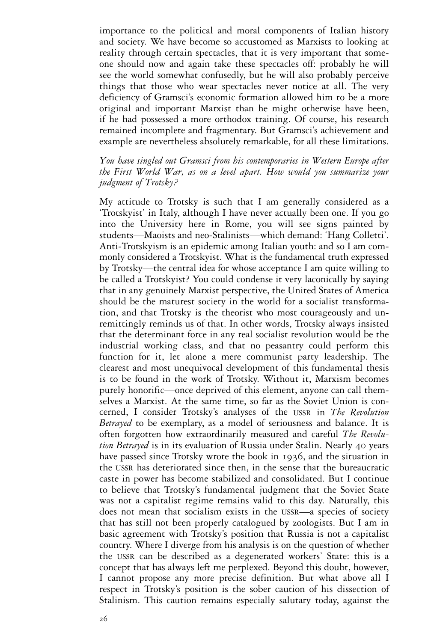importance to the political and moral components of Italian history and society. We have become so accustomed as Marxists to looking at reality through certain spectacles, that it is very important that someone should now and again take these spectacles off: probably he will see the world somewhat confusedly, but he will also probably perceive things that those who wear spectacles never notice at all. The very deficiency of Gramsci's economic formation allowed him to be a more original and important Marxist than he might otherwise have been, if he had possessed a more orthodox training. Of course, his research remained incomplete and fragmentary. But Gramsci's achievement and example are nevertheless absolutely remarkable, for all these limitations.

*You have singled out Gramsci from his contemporaries in Western Europe after the First World War, as on a level apart. How would you summarize your judgment of Trotsky?*

My attitude to Trotsky is such that I am generally considered as a 'Trotskyist' in Italy, although I have never actually been one. If you go into the University here in Rome, you will see signs painted by students—Maoists and neo-Stalinists—which demand: 'Hang Colletti'. Anti-Trotskyism is an epidemic among Italian youth: and so I am commonly considered a Trotskyist. What is the fundamental truth expressed by Trotsky—the central idea for whose acceptance I am quite willing to be called a Trotskyist? You could condense it very laconically by saying that in any genuinely Marxist perspective, the United States of America should be the maturest society in the world for a socialist transformation, and that Trotsky is the theorist who most courageously and unremittingly reminds us of that. In other words, Trotsky always insisted that the determinant force in any real socialist revolution would be the industrial working class, and that no peasantry could perform this function for it, let alone a mere communist party leadership. The clearest and most unequivocal development of this fundamental thesis is to be found in the work of Trotsky. Without it, Marxism becomes purely honorific—once deprived of this element, anyone can call themselves a Marxist. At the same time, so far as the Soviet Union is concerned, I consider Trotsky's analyses of the USSR in *The Revolution Betrayed* to be exemplary, as a model of seriousness and balance. It is often forgotten how extraordinarily measured and careful *The Revolution Betrayed* is in its evaluation of Russia under Stalin. Nearly 40 years have passed since Trotsky wrote the book in 1936, and the situation in the USSR has deteriorated since then, in the sense that the bureaucratic caste in power has become stabilized and consolidated. But I continue to believe that Trotsky's fundamental judgment that the Soviet State was not a capitalist regime remains valid to this day. Naturally, this does not mean that socialism exists in the USSR—a species of society that has still not been properly catalogued by zoologists. But I am in basic agreement with Trotsky's position that Russia is not a capitalist country. Where I diverge from his analysis is on the question of whether the USSR can be described as a degenerated workers' State: this is a concept that has always left me perplexed. Beyond this doubt, however, I cannot propose any more precise definition. But what above all I respect in Trotsky's position is the sober caution of his dissection of Stalinism. This caution remains especially salutary today, against the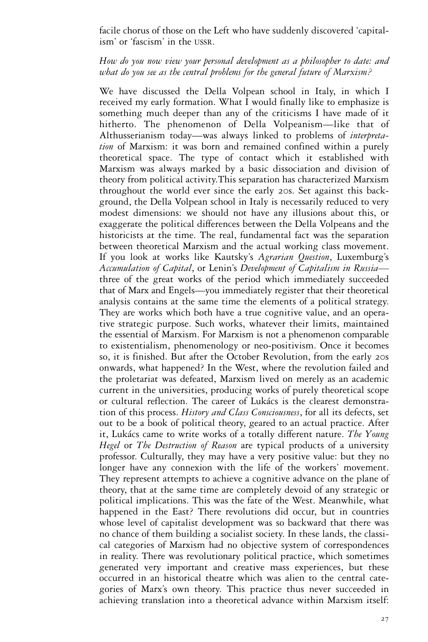facile chorus of those on the Left who have suddenly discovered 'capitalism' or 'fascism' in the USSR.

#### *How do you now view your personal development as a philosopher to date: and what do you see as the central problems for the general future of Marxism?*

We have discussed the Della Volpean school in Italy, in which I received my early formation. What I would finally like to emphasize is something much deeper than any of the criticisms I have made of it hitherto. The phenomenon of Della Volpeanism—like that of Althusserianism today—was always linked to problems of *interpretation* of Marxism: it was born and remained confined within a purely theoretical space. The type of contact which it established with Marxism was always marked by a basic dissociation and division of theory from political activity.This separation has characterized Marxism throughout the world ever since the early 20s. Set against this background, the Della Volpean school in Italy is necessarily reduced to very modest dimensions: we should not have any illusions about this, or exaggerate the political differences between the Della Volpeans and the historicists at the time. The real, fundamental fact was the separation between theoretical Marxism and the actual working class movement. If you look at works like Kautsky's *Agrarian Question*, Luxemburg's *Accumulation of Capital*, or Lenin's *Development of Capitalism in Russia* three of the great works of the period which immediately succeeded that of Marx and Engels—you immediately register that their theoretical analysis contains at the same time the elements of a political strategy. They are works which both have a true cognitive value, and an operative strategic purpose. Such works, whatever their limits, maintained the essential of Marxism. For Marxism is not a phenomenon comparable to existentialism, phenomenology or neo-positivism. Once it becomes so, it is finished. But after the October Revolution, from the early 20s onwards, what happened? In the West, where the revolution failed and the proletariat was defeated, Marxism lived on merely as an academic current in the universities, producing works of purely theoretical scope or cultural reflection. The career of Lukács is the clearest demonstration of this process. *History and Class Consciousness*, for all its defects, set out to be a book of political theory, geared to an actual practice. After it, Lukács came to write works of a totally different nature. *The Young Hegel* or *The Destruction of Reason* are typical products of a university professor. Culturally, they may have a very positive value: but they no longer have any connexion with the life of the workers' movement. They represent attempts to achieve a cognitive advance on the plane of theory, that at the same time are completely devoid of any strategic or political implications. This was the fate of the West. Meanwhile, what happened in the East? There revolutions did occur, but in countries whose level of capitalist development was so backward that there was no chance of them building a socialist society. In these lands, the classical categories of Marxism had no objective system of correspondences in reality. There was revolutionary political practice, which sometimes generated very important and creative mass experiences, but these occurred in an historical theatre which was alien to the central categories of Marx's own theory. This practice thus never succeeded in achieving translation into a theoretical advance within Marxism itself: